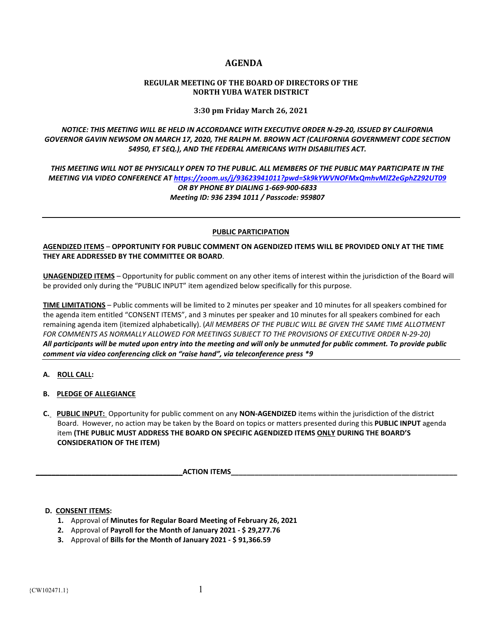# **AGENDA**

### **REGULAR MEETING OF THE BOARD OF DIRECTORS OF THE NORTH YUBA WATER DISTRICT**

**3:30 pm Friday March 26, 2021**

*NOTICE: THIS MEETING WILL BE HELD IN ACCORDANCE WITH EXECUTIVE ORDER N-29-20, ISSUED BY CALIFORNIA GOVERNOR GAVIN NEWSOM ON MARCH 17, 2020, THE RALPH M. BROWN ACT (CALIFORNIA GOVERNMENT CODE SECTION 54950, ET SEQ.), AND THE FEDERAL AMERICANS WITH DISABILITIES ACT.* 

*THIS MEETING WILL NOT BE PHYSICALLY OPEN TO THE PUBLIC. ALL MEMBERS OF THE PUBLIC MAY PARTICIPATE IN THE MEETING VIA VIDEO CONFERENCE A[T https://zoom.us/j/93623941011?pwd=Sk9kYWVNOFMxQmhvMlZ2eGphZ292UT09](https://zoom.us/j/93623941011?pwd=Sk9kYWVNOFMxQmhvMlZ2eGphZ292UT09) OR BY PHONE BY DIALING 1-669-900-6833 Meeting ID: 936 2394 1011 / Passcode: 959807*

#### **PUBLIC PARTICIPATION**

**AGENDIZED ITEMS** – **OPPORTUNITY FOR PUBLIC COMMENT ON AGENDIZED ITEMS WILL BE PROVIDED ONLY AT THE TIME THEY ARE ADDRESSED BY THE COMMITTEE OR BOARD**.

**UNAGENDIZED ITEMS** – Opportunity for public comment on any other items of interest within the jurisdiction of the Board will be provided only during the "PUBLIC INPUT" item agendized below specifically for this purpose.

**TIME LIMITATIONS** – Public comments will be limited to 2 minutes per speaker and 10 minutes for all speakers combined for the agenda item entitled "CONSENT ITEMS", and 3 minutes per speaker and 10 minutes for all speakers combined for each remaining agenda item (itemized alphabetically). (*All MEMBERS OF THE PUBLIC WILL BE GIVEN THE SAME TIME ALLOTMENT FOR COMMENTS AS NORMALLY ALLOWED FOR MEETINGS SUBJECT TO THE PROVISIONS OF EXECUTIVE ORDER N-29-20) All participants will be muted upon entry into the meeting and will only be unmuted for public comment. To provide public comment via video conferencing click on "raise hand", via teleconference press \*9*

## **A. ROLL CALL:**

- **B. PLEDGE OF ALLEGIANCE**
- **C. PUBLIC INPUT:** Opportunity for public comment on any **NON-AGENDIZED** items within the jurisdiction of the district Board. However, no action may be taken by the Board on topics or matters presented during this **PUBLIC INPUT** agenda item **(THE PUBLIC MUST ADDRESS THE BOARD ON SPECIFIC AGENDIZED ITEMS ONLY DURING THE BOARD'S CONSIDERATION OF THE ITEM)**

**ACTION ITEMS** 

## **D. CONSENT ITEMS:**

- **1.** Approval of **Minutes for Regular Board Meeting of February 26, 2021**
- **2.** Approval of **Payroll for the Month of January 2021 - \$ 29,277.76**
- **3.** Approval of **Bills for the Month of January 2021 - \$ 91,366.59**